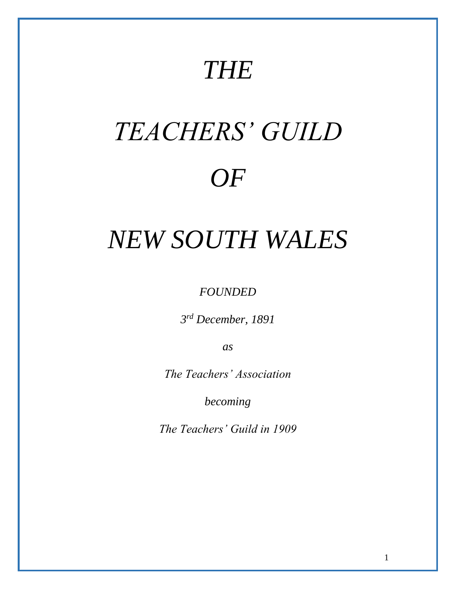# *THE*

# *TEACHERS' GUILD OF*

# *NEW SOUTH WALES*

*FOUNDED* 

*3 rd December, 1891*

*as*

*The Teachers' Association*

*becoming*

*The Teachers' Guild in 1909*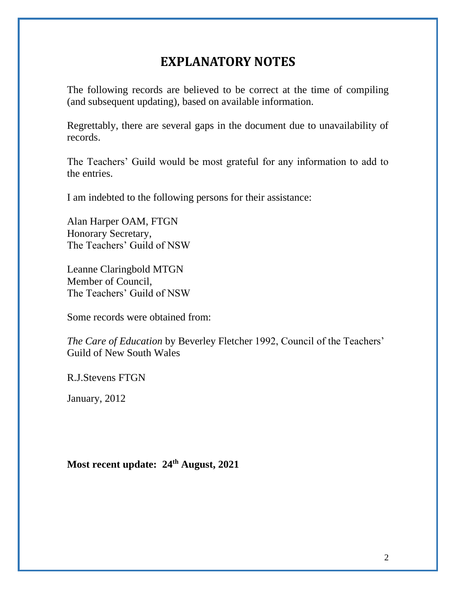# **EXPLANATORY NOTES**

<span id="page-1-0"></span>The following records are believed to be correct at the time of compiling (and subsequent updating), based on available information.

Regrettably, there are several gaps in the document due to unavailability of records.

The Teachers' Guild would be most grateful for any information to add to the entries.

I am indebted to the following persons for their assistance:

Alan Harper OAM, FTGN Honorary Secretary, The Teachers' Guild of NSW

Leanne Claringbold MTGN Member of Council, The Teachers' Guild of NSW

Some records were obtained from:

*The Care of Education* by Beverley Fletcher 1992, Council of the Teachers' Guild of New South Wales

R.J.Stevens FTGN

January, 2012

**Most recent update: 24 th August, 2021**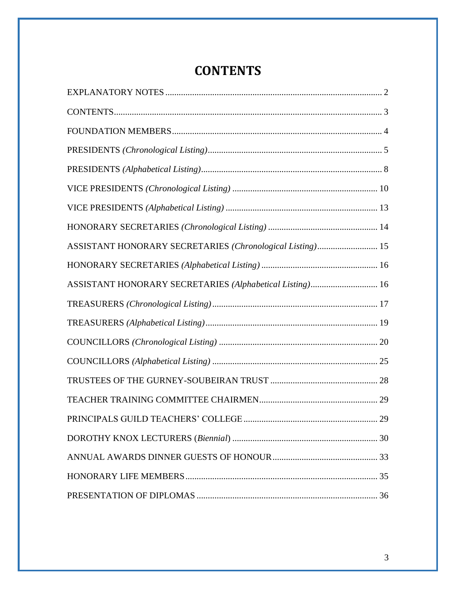# **CONTENTS**

<span id="page-2-0"></span>

| ASSISTANT HONORARY SECRETARIES (Chronological Listing) 15 |  |
|-----------------------------------------------------------|--|
|                                                           |  |
| ASSISTANT HONORARY SECRETARIES (Alphabetical Listing) 16  |  |
|                                                           |  |
|                                                           |  |
|                                                           |  |
|                                                           |  |
|                                                           |  |
|                                                           |  |
|                                                           |  |
|                                                           |  |
|                                                           |  |
|                                                           |  |
|                                                           |  |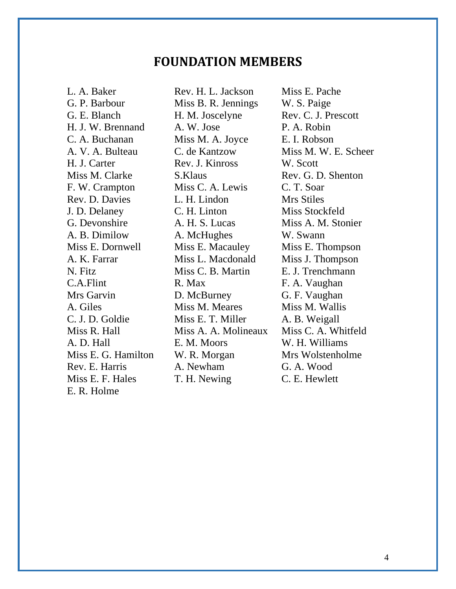# **FOUNDATION MEMBERS**

<span id="page-3-0"></span>L. A. Baker Rev. H. L. Jackson Miss E. Pache E. R. Holme

G. P. Barbour Miss B. R. Jennings W. S. Paige G. E. Blanch H. M. Joscelyne Rev. C. J. Prescott H. J. W. Brennand A. W. Jose P. A. Robin C. A. Buchanan Miss M. A. Joyce E. I. Robson A. V. A. Bulteau C. de Kantzow Miss M. W. E. Scheer H. J. Carter Rev. J. Kinross W. Scott Miss M. Clarke S. Klaus Rev. G. D. Shenton F. W. Crampton Miss C. A. Lewis C. T. Soar Rev. D. Davies L. H. Lindon Mrs Stiles J. D. Delaney C. H. Linton Miss Stockfeld G. Devonshire A. H. S. Lucas Miss A. M. Stonier A. B. Dimilow A. McHughes W. Swann Miss E. Dornwell Miss E. Macauley Miss E. Thompson A. K. Farrar Miss L. Macdonald Miss J. Thompson N. Fitz Miss C. B. Martin E. J. Trenchmann C.A.Flint R. Max F. A. Vaughan Mrs Garvin D. McBurney G. F. Vaughan A. Giles Miss M. Meares Miss M. Wallis C. J. D. Goldie Miss E. T. Miller A. B. Weigall Miss R. Hall Miss A. A. Molineaux Miss C. A. Whitfeld A. D. Hall **E. M. Moors** W. H. Williams Miss E. G. Hamilton W. R. Morgan Mrs Wolstenholme Rev. E. Harris A. Newham G. A. Wood Miss E. F. Hales T. H. Newing C. E. Hewlett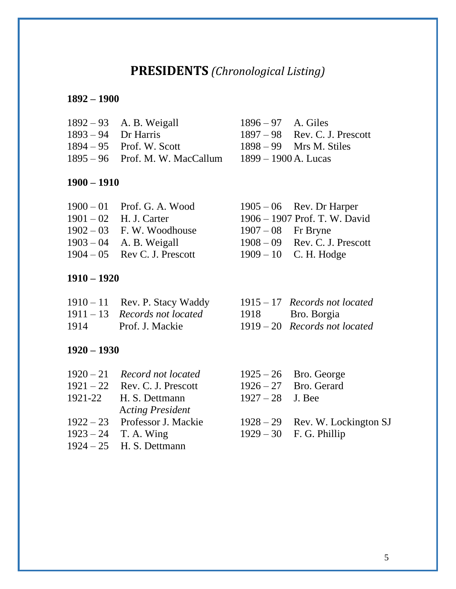# **PRESIDENTS** *(Chronological Listing)*

# <span id="page-4-0"></span>**1892 – 1900**

| $1892 - 93$ A. B. Weigall         |
|-----------------------------------|
| $1893 - 94$ Dr Harris             |
| $1894 - 95$ Prof. W. Scott        |
| $1895 - 96$ Prof. M. W. MacCallum |
|                                   |

## **1900 – 1910**

| $1900 - 01$ Prof. G. A. Wood |                    | $1905 - 06$ Rev. Dr Harper      |
|------------------------------|--------------------|---------------------------------|
| $1901 - 02$ H. J. Carter     |                    | 1906 - 1907 Prof. T. W. David   |
| $1902 - 03$ F.W. Woodhouse   | $1907-08$ Fr Bryne |                                 |
| $1903 - 04$ A. B. Weigall    |                    | $1908 - 09$ Rev. C. J. Prescott |
| $1904-05$ Rev C. J. Prescott |                    | $1909 - 10$ C. H. Hodge         |

### **1910 – 1920**

|      | $1910 - 11$ Rev. P. Stacy Waddy | $1915 - 17$ Records not located |
|------|---------------------------------|---------------------------------|
|      | $1911 - 13$ Records not located | 1918 Bro. Borgia                |
| 1914 | Prof. J. Mackie                 | $1919 - 20$ Records not located |

## **1920 – 1930**

| $1920 - 21$ Record not located  |                    | $1925 - 26$ Bro. George           |
|---------------------------------|--------------------|-----------------------------------|
| $1921 - 22$ Rev. C. J. Prescott |                    | $1926 - 27$ Bro. Gerard           |
| 1921-22 H. S. Dettmann          | $1927 - 28$ J. Bee |                                   |
| <b>Acting President</b>         |                    |                                   |
| 1922 – 23 Professor J. Mackie   |                    | $1928 - 29$ Rev. W. Lockington SJ |
| $1923 - 24$ T. A. Wing          |                    | $1929 - 30$ F. G. Phillip         |
| $1924 - 25$ H. S. Dettmann      |                    |                                   |

1896 – 97 A. Giles  $1897 - 98$  Rev. C. J. Prescott  $1898 - 99$  Mrs M. Stiles  $1899 - 1900$  A. Lucas

|                      | $1905-06$ Rev. Dr Harper        |
|----------------------|---------------------------------|
|                      | 1906 – 1907 Prof. T. W. David   |
| $1907 - 08$ Fr Bryne |                                 |
|                      | $1908 - 09$ Rev. C. J. Prescott |
|                      | 1909 – 10 C. H. Hodge           |

1915 – 17 *Records not located*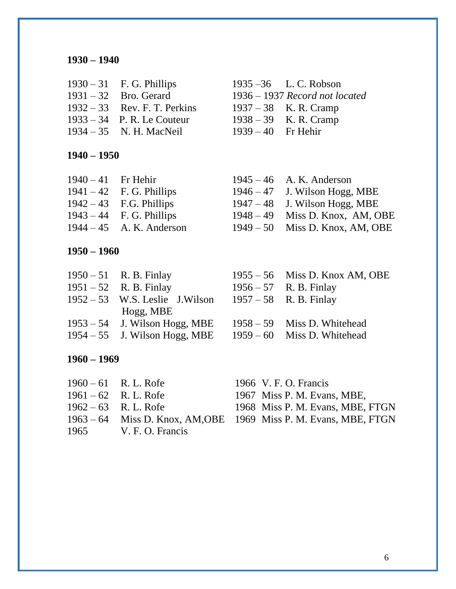| $1930 - 31$ F. G. Phillips     |                         | 1935 $-36$ L. C. Robson    |
|--------------------------------|-------------------------|----------------------------|
| $1931 - 32$ Bro. Gerard        |                         | $1936 - 1937$ Record not l |
| $1932 - 33$ Rev. F. T. Perkins | $1937 - 38$ K. R. Cramp |                            |
| $1933 - 34$ P. R. Le Couteur   |                         | $1938 - 39$ K. R. Cramp    |
| $1934 - 35$ N. H. MacNeil      | $1939-40$ Fr Hehir      |                            |

**1940 – 1950**

| $1940 - 41$ Fr Hehir |                            | $1945 - 46$ A. K. Anderson      |
|----------------------|----------------------------|---------------------------------|
|                      | $1941 - 42$ F. G. Phillips | $1946 - 47$ J. Wilson Hogg, MBE |
|                      | $1942 - 43$ F.G. Phillips  | $1947 - 48$ J. Wilson Hogg, MBE |
|                      | $1943 - 44$ F. G. Phillips | $1948-49$ Miss D. Knox, AM, OBE |
|                      | $1944 - 45$ A. K. Anderson | $1949-50$ Miss D. Knox, AM, OBE |

# **1950 – 1960**

| $1950 - 51$ R. B. Finlay                                   | $1955 - 56$ Miss D. Knox AM, OBE |
|------------------------------------------------------------|----------------------------------|
| $1951 - 52$ R. B. Finlay                                   | $1956 - 57$ R. B. Finlay         |
| $1952 - 53$ W.S. Leslie J. Wilson $1957 - 58$ R. B. Finlay |                                  |
| Hogg, MBE                                                  |                                  |
| $1953 - 54$ J. Wilson Hogg, MBE                            | $1958 - 59$ Miss D. Whitehead    |
| $1954 - 55$ J. Wilson Hogg, MBE                            | $1959 - 60$ Miss D. Whitehead    |

# **1960 – 1969**

| $1960 - 61$ R. L. Rofe | 1966 V. F. O. Francis                                            |
|------------------------|------------------------------------------------------------------|
| $1961 - 62$ R. L. Rofe | 1967 Miss P. M. Evans, MBE,                                      |
| $1962 - 63$ R.L. Rofe  | 1968 Miss P. M. Evans, MBE, FTGN                                 |
|                        | 1963 – 64 Miss D. Knox, AM, OBE 1969 Miss P. M. Evans, MBE, FTGN |
| 1965 V. F. O. Francis  |                                                                  |

| $1930 - 31$ F. G. Phillips     | $1935 - 36$ L. C. Robson         |
|--------------------------------|----------------------------------|
| $1931 - 32$ Bro. Gerard        | $1936 - 1937$ Record not located |
| $1932 - 33$ Rev. F. T. Perkins | $1937 - 38$ K. R. Cramp          |
| $1933 - 34$ P. R. Le Couteur   | $1938 - 39$ K. R. Cramp          |
| 1934 – 35 N. H. MacNeil        |                                  |
|                                | $1939 - 40$ Fr Hehir             |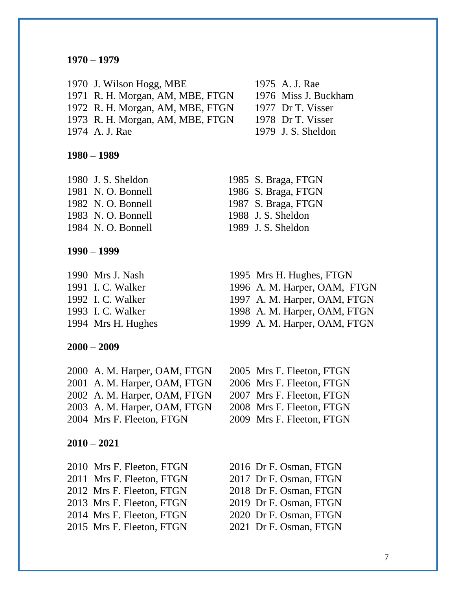J. Wilson Hogg, MBE 1975 A. J. Rae R. H. Morgan, AM, MBE, FTGN 1976 Miss J. Buckham R. H. Morgan, AM, MBE, FTGN 1977 Dr T. Visser R. H. Morgan, AM, MBE, FTGN 1978 Dr T. Visser A. J. Rae 1979 J. S. Sheldon

**1980 – 1989**

 N. O. Bonnell 1988 J. S. Sheldon N. O. Bonnell 1989 J. S. Sheldon

**1990 – 1999**

**2000 – 2009**

 A. M. Harper, OAM, FTGN 2005 Mrs F. Fleeton, FTGN A. M. Harper, OAM, FTGN 2006 Mrs F. Fleeton, FTGN A. M. Harper, OAM, FTGN 2007 Mrs F. Fleeton, FTGN A. M. Harper, OAM, FTGN 2008 Mrs F. Fleeton, FTGN Mrs F. Fleeton, FTGN 2009 Mrs F. Fleeton, FTGN

### **2010 – 2021**

 Mrs F. Fleeton, FTGN 2016 Dr F. Osman, FTGN 2011 Mrs F. Fleeton, FTGN 2017 Dr F. Osman, FTGN 2012 Mrs F. Fleeton, FTGN 2013 Mrs F. Fleeton, FTGN 2014 Mrs F. Fleeton, FTGN 2015 Mrs F. Fleeton, FTGN

- J. S. Sheldon 1985 S. Braga, FTGN N. O. Bonnell 1986 S. Braga, FTGN N. O. Bonnell 1987 S. Braga, FTGN
- Mrs J. Nash 1995 Mrs H. Hughes, FTGN
- I. C. Walker 1996 A. M. Harper, OAM, FTGN
- I. C. Walker 1997 A. M. Harper, OAM, FTGN
- I. C. Walker 1998 A. M. Harper, OAM, FTGN
- Mrs H. Hughes 1999 A. M. Harper, OAM, FTGN
	-
	-
	-
	-
	- Dr F. Osman, FTGN 2019 Dr F. Osman, FTGN 2020 Dr F. Osman, FTGN 2021 Dr F. Osman, FTGN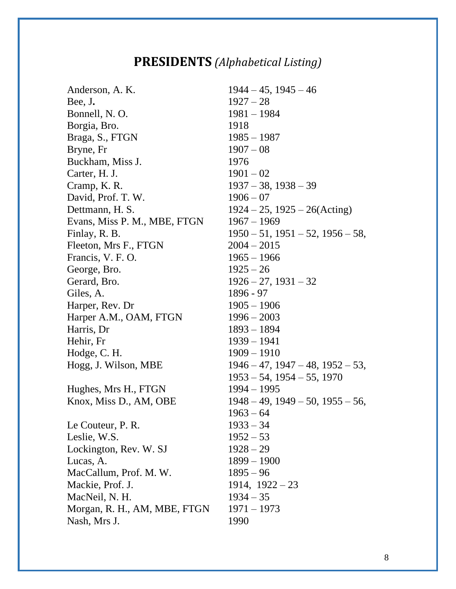# **PRESIDENTS** *(Alphabetical Listing)*

<span id="page-7-0"></span>Anderson, A. K. 1944 – 45, 1945 – 46 Bee, J**.** 1927 – 28 Bonnell, N. O. 1981 – 1984 Borgia, Bro. 1918 Braga, S., FTGN 1985 – 1987 Bryne, Fr  $1907 - 08$ Buckham, Miss J. 1976 Carter, H. J. 1901 – 02 Cramp, K. R. 1937 – 38, 1938 – 39 David, Prof. T. W. 1906 – 07 Dettmann, H. S. 1924 – 25, 1925 – 26(Acting) Evans, Miss P. M., MBE, FTGN 1967 – 1969 Finlay, R. B. 1950 – 51, 1951 – 52, 1956 – 58, Fleeton, Mrs F., FTGN 2004 – 2015 Francis, V. F. O. 1965 – 1966 George, Bro.  $1925 - 26$ Gerard, Bro. 1926 – 27, 1931 – 32 Giles, A. 1896 - 97 Harper, Rev. Dr 1905 – 1906 Harper A.M., OAM, FTGN 1996 – 2003 Harris, Dr 1893 – 1894 Hehir, Fr 1939 – 1941 Hodge, C. H. 1909 – 1910 Hogg, J. Wilson, MBE 1946 – 47, 1947 – 48, 1952 – 53, Hughes, Mrs H., FTGN 1994 – 1995 Knox, Miss D., AM, OBE 1948 – 49, 1949 – 50, 1955 – 56, Le Couteur, P. R. 1933 – 34 Leslie, W.S.  $1952 - 53$ Lockington, Rev. W. SJ  $1928 - 29$ Lucas, A. 1899 – 1900 MacCallum, Prof. M. W. 1895 – 96 Mackie, Prof. J. 1914, 1922 – 23 MacNeil, N. H. 1934 – 35 Morgan, R. H., AM, MBE, FTGN 1971 – 1973 Nash, Mrs J. 1990

 $1953 - 54$ ,  $1954 - 55$ ,  $1970$  $1963 - 64$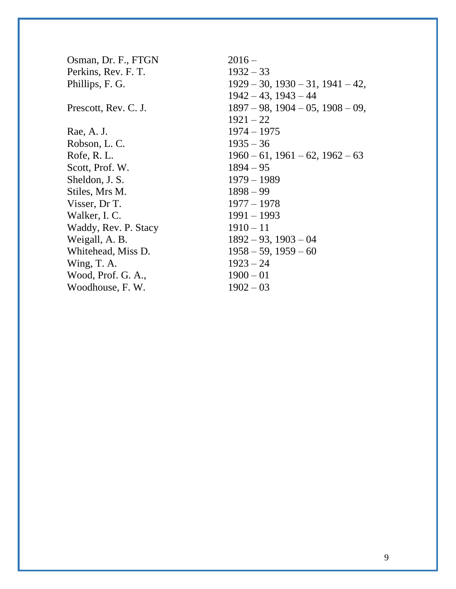| Osman, Dr. F., FTGN  | $2016 -$                                  |
|----------------------|-------------------------------------------|
| Perkins, Rev. F. T.  | $1932 - 33$                               |
| Phillips, F. G.      | $1929 - 30$ , $1930 - 31$ , $1941 - 42$ , |
|                      | $1942 - 43$ , $1943 - 44$                 |
| Prescott, Rev. C. J. | $1897 - 98$ , $1904 - 05$ , $1908 - 09$ , |
|                      | $1921 - 22$                               |
| Rae, A. J.           | $1974 - 1975$                             |
| Robson, L. C.        | $1935 - 36$                               |
| Rofe, R.L.           | $1960 - 61$ , $1961 - 62$ , $1962 - 63$   |
| Scott, Prof. W.      | $1894 - 95$                               |
| Sheldon, J. S.       | $1979 - 1989$                             |
| Stiles, Mrs M.       | $1898 - 99$                               |
| Visser, Dr T.        | $1977 - 1978$                             |
| Walker, I. C.        | $1991 - 1993$                             |
| Waddy, Rev. P. Stacy | $1910 - 11$                               |
| Weigall, A. B.       | $1892 - 93$ , $1903 - 04$                 |
| Whitehead, Miss D.   | $1958 - 59$ , $1959 - 60$                 |
| Wing, T. A.          | $1923 - 24$                               |
| Wood, Prof. G. A.,   | $1900 - 01$                               |
| Woodhouse, F. W.     | $1902 - 03$                               |
|                      |                                           |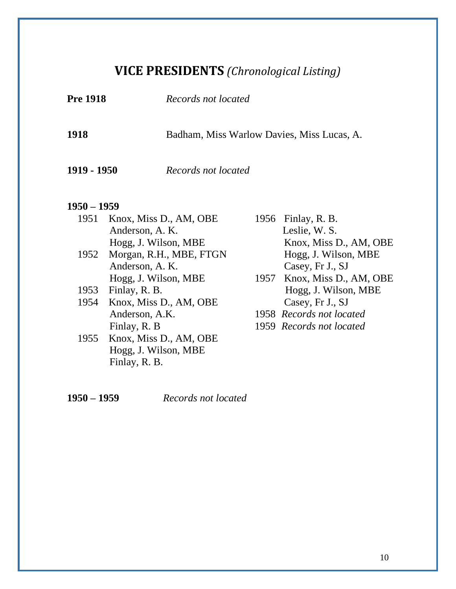# **VICE PRESIDENTS** *(Chronological Listing)*

<span id="page-9-0"></span>

| <b>Pre 1918</b> |                                                                    | Records not located<br>Badham, Miss Warlow Davies, Miss Lucas, A. |                                                                    |  |
|-----------------|--------------------------------------------------------------------|-------------------------------------------------------------------|--------------------------------------------------------------------|--|
| 1918            |                                                                    |                                                                   |                                                                    |  |
| 1919 - 1950     |                                                                    | Records not located                                               |                                                                    |  |
| 1950 – 1959     |                                                                    |                                                                   |                                                                    |  |
| 1951            | Knox, Miss D., AM, OBE<br>Anderson, A. K.                          |                                                                   | 1956 Finlay, R. B.<br>Leslie, W. S.                                |  |
| 1952            | Hogg, J. Wilson, MBE<br>Morgan, R.H., MBE, FTGN<br>Anderson, A. K. |                                                                   | Knox, Miss D., AM, OBE<br>Hogg, J. Wilson, MBE<br>Casey, Fr J., SJ |  |
|                 | Hogg, J. Wilson, MBE                                               |                                                                   | 1957 Knox, Miss D., AM, OBE                                        |  |
| 1953            | Finlay, R. B.                                                      |                                                                   | Hogg, J. Wilson, MBE                                               |  |
| 1954            | Knox, Miss D., AM, OBE                                             |                                                                   | Casey, Fr J., SJ                                                   |  |
|                 | Anderson, A.K.                                                     |                                                                   | 1958 Records not located                                           |  |
|                 | Finlay, R. B.                                                      |                                                                   | 1959 Records not located                                           |  |
| 1955            | Knox, Miss D., AM, OBE                                             |                                                                   |                                                                    |  |
|                 | Hogg, J. Wilson, MBE                                               |                                                                   |                                                                    |  |
|                 | Finlay, R. B.                                                      |                                                                   |                                                                    |  |

**1950 – 1959** *Records not located*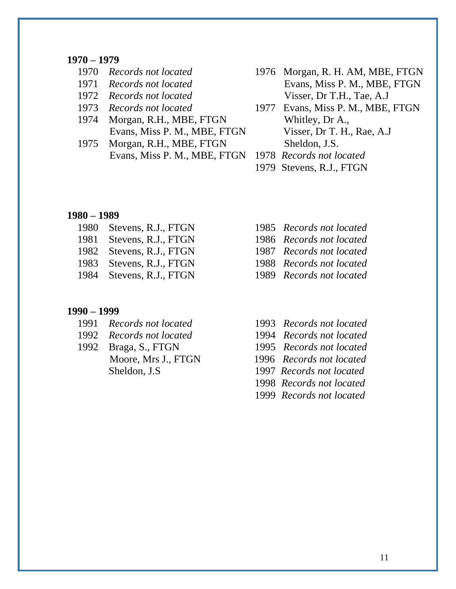- 
- 
- 
- 
- 1974 Morgan, R.H., MBE, FTGN Whitley, Dr A.,
- 1975 Morgan, R.H., MBE, FTGN Sheldon, J.S. Evans, Miss P. M., MBE, FTGN 1978 *Records not located*
- 1970 *Records not located* 1976 Morgan, R. H. AM, MBE, FTGN 1971 *Records not located* Evans, Miss P. M., MBE, FTGN 1972 *Records not located* Visser, Dr T.H., Tae, A.J
- 1973 *Records not located* 1977 Evans, Miss P. M., MBE, FTGN Evans, Miss P. M., MBE, FTGN Visser, Dr T. H., Rae, A.J
	-
	- 1979 Stevens, R.J., FTGN

### **1980 – 1989**

- 1980 Stevens, R.J., FTGN 1985 *Records not located* 1981 Stevens, R.J., FTGN 1986 *Records not located* 1982 Stevens, R.J., FTGN 1987 *Records not located* 1983 Stevens, R.J., FTGN1988 *Records not located*
- 

### **1990 – 1999**

- 1991 *Records not located* 1993 *Records not located*
- 
- 1992 Braga, S., FTGN 1995 *Records not located*
- 
- 
- 
- 
- 1984 Stevens, R.J., FTGN1989 *Records not located*
	-
- 1992 *Records not located* 1994 *Records not located*
	-
	- Moore, Mrs J., FTGN 1996 *Records not located*
	- Sheldon, J.S 1997 *Records not located*
		- 1998 *Records not located*
		- 1999 *Records not located*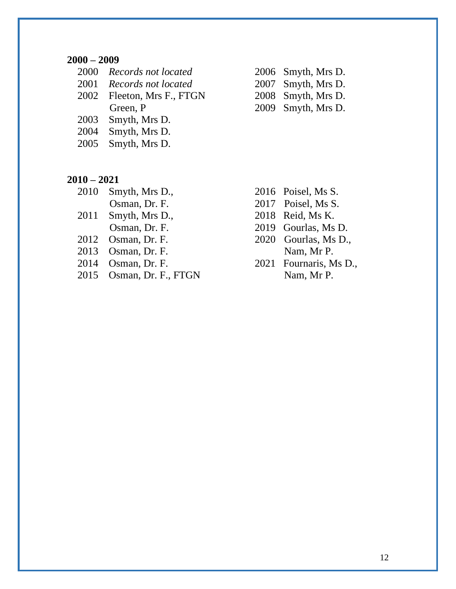|      | 2000 Records not located   |
|------|----------------------------|
| 2001 | Records not located        |
|      | 2002 Fleeton, Mrs F., FTGN |
|      | Green, P                   |
| 2003 | Smyth, Mrs D.              |
| 2004 | Smyth, Mrs D.              |

- 2000 *Records not located* 2006 Smyth, Mrs D. 2001 *Records not located* 2007 Smyth, Mrs D. **2008** Smyth, Mrs D. 2009 Smyth, Mrs D.
- 2005 Smyth, Mrs D.

### **2010 – 2021**

- 2010 Smyth, Mrs D., 2016 Poisel, Ms S.
- 2011 Smyth, Mrs D., 2018 Reid, Ms K.
- 
- 
- 
- <span id="page-11-0"></span>2015 Osman, Dr. F., FTGN Nam, Mr P.
- 
- **Osman, Dr. F.** 2017 Poisel, Ms S.
	-
- **Osman, Dr. F.** 2019 Gourlas, Ms D.
- 2012 Osman, Dr. F. 2020 Gourlas, Ms D., 2013 Osman, Dr. F. Nam, Mr P.
- 2014 Osman, Dr. F. 2021 Fournaris, Ms D.,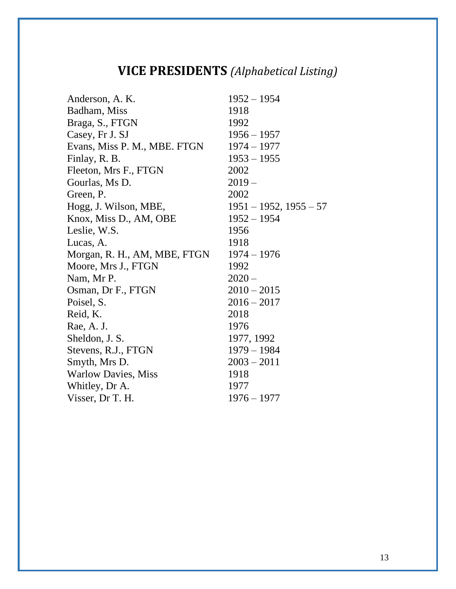# **VICE PRESIDENTS** *(Alphabetical Listing)*

| Anderson, A. K.              | $1952 - 1954$               |
|------------------------------|-----------------------------|
| Badham, Miss                 | 1918                        |
| Braga, S., FTGN              | 1992                        |
| Casey, Fr J. SJ              | $1956 - 1957$               |
| Evans, Miss P. M., MBE. FTGN | $1974 - 1977$               |
| Finlay, R. B.                | $1953 - 1955$               |
| Fleeton, Mrs F., FTGN        | 2002                        |
| Gourlas, Ms D.               | $2019-$                     |
| Green, P.                    | 2002                        |
| Hogg, J. Wilson, MBE,        | $1951 - 1952$ , $1955 - 57$ |
| Knox, Miss D., AM, OBE       | $1952 - 1954$               |
| Leslie, W.S.                 | 1956                        |
| Lucas, A.                    | 1918                        |
| Morgan, R. H., AM, MBE, FTGN | $1974 - 1976$               |
| Moore, Mrs J., FTGN          | 1992                        |
| Nam, Mr P.                   | $2020 -$                    |
| Osman, Dr F., FTGN           | $2010 - 2015$               |
| Poisel, S.                   | $2016 - 2017$               |
| Reid, K.                     | 2018                        |
| Rae, A. J.                   | 1976                        |
| Sheldon, J. S.               | 1977, 1992                  |
| Stevens, R.J., FTGN          | $1979 - 1984$               |
| Smyth, Mrs D.                | $2003 - 2011$               |
| <b>Warlow Davies, Miss</b>   | 1918                        |
| Whitley, Dr A.               | 1977                        |
| Visser, Dr T. H.             | $1976 - 1977$               |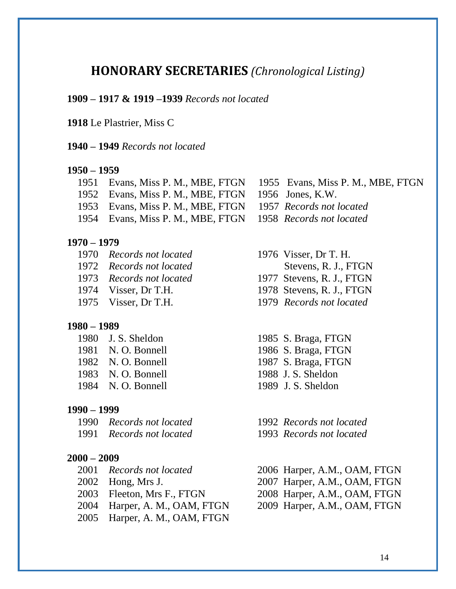# <span id="page-13-0"></span>**HONORARY SECRETARIES** *(Chronological Listing)*

### **1909 – 1917 & 1919 –1939** *Records not located*

### **1918** Le Plastrier, Miss C

**1940 – 1949** *Records not located*

### **1950 – 1959**

- 1951 Evans, Miss P. M., MBE, FTGN 1955 Evans, Miss P. M., MBE, FTGN
- 1952 Evans, Miss P. M., MBE, FTGN 1956 Jones, K.W.
- 1953 Evans, Miss P. M., MBE, FTGN 1957 *Records not located*
- 1954 Evans, Miss P. M., MBE, FTGN 1958 *Records not located*

### **1970 – 1979**

- 1970 *Records not located* 1976 Visser, Dr T. H.
- 1972 *Records not located* Stevens, R. J., FTGN
- 1973 *Records not located* 1977 Stevens, R. J., FTGN
- 1974 Visser, Dr T.H. 1978 Stevens, R. J., FTGN
- 1975 Visser, Dr T.H. 1979 *Records not located*

### **1980 – 1989**

1981 N. O. Bonnell 1986 S. Braga, FTGN 1982 N. O. Bonnell 1987 S. Braga, FTGN 1983 N. O. Bonnell 1988 J. S. Sheldon 1984 N. O. Bonnell 1989 J. S. Sheldon

### **1990 – 1999**

1990 *Records not located* 1992 *Records not located*

- **2000 – 2009**
	-
	-
	-
	- 2004 Harper, A. M., OAM, FTGN 2009 Harper, A.M., OAM, FTGN
	- 2005 Harper, A. M., OAM, FTGN
- -
- 
- 
- 
- 1980 J. S. Sheldon 1985 S. Braga, FTGN
	-
	-
	-
	-
	-
- 1991 *Records not located* 1993 *Records not located*
- 2001 *Records not located* 2006 Harper, A.M., OAM, FTGN 2002 Hong, Mrs J. 2007 Harper, A.M., OAM, FTGN 2003 Fleeton, Mrs F., FTGN 2008 Harper, A.M., OAM, FTGN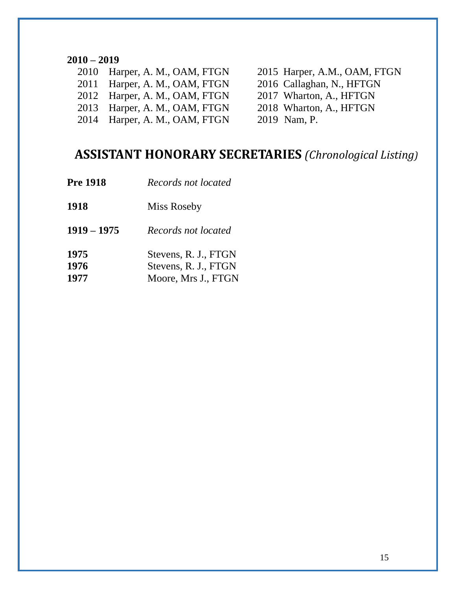- 2010 Harper, A. M., OAM, FTGN 2015 Harper, A.M., OAM, FTGN
- 2011 Harper, A. M., OAM, FTGN 2016 Callaghan, N., HFTGN
- 2012 Harper, A. M., OAM, FTGN 2017 Wharton, A., HFTGN
- 2013 Harper, A. M., OAM, FTGN 2018 Wharton, A., HFTGN
- 2014 Harper, A. M., OAM, FTGN 2019 Nam, P.
- 
- 
- 
- -

# <span id="page-14-0"></span>**ASSISTANT HONORARY SECRETARIES** *(Chronological Listing)*

**Pre 1918** *Records not located* Miss Roseby **1919 – 1975** *Records not located* Stevens, R. J., FTGN Stevens, R. J., FTGN Moore, Mrs J., FTGN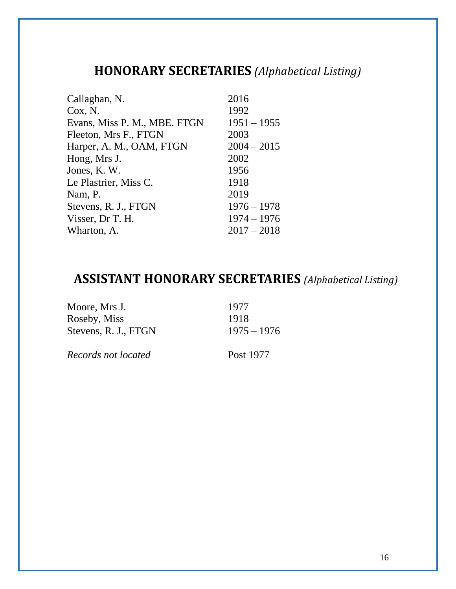# <span id="page-15-0"></span>**HONORARY SECRETARIES** *(Alphabetical Listing)*

| 2016          |
|---------------|
| 1992          |
| $1951 - 1955$ |
| 2003          |
| $2004 - 2015$ |
| 2002          |
| 1956          |
| 1918          |
| 2019          |
| $1976 - 1978$ |
| $1974 - 1976$ |
| $2017 - 2018$ |
|               |

# <span id="page-15-1"></span>**ASSISTANT HONORARY SECRETARIES** *(Alphabetical Listing)*

| Moore, Mrs J.        | 1977          |
|----------------------|---------------|
| Roseby, Miss         | 1918          |
| Stevens, R. J., FTGN | $1975 - 1976$ |
|                      |               |

*Records not located* Post 1977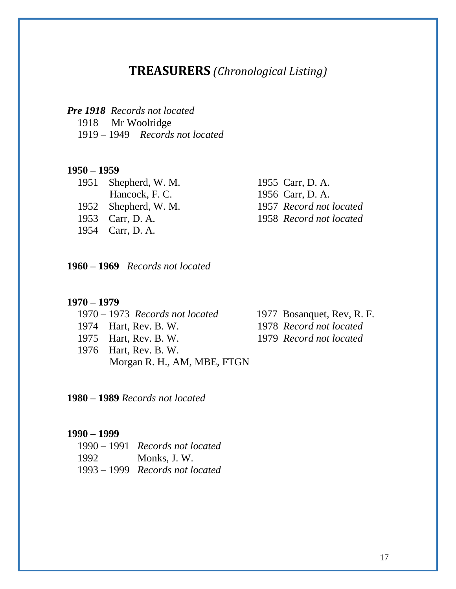# **TREASURERS** *(Chronological Listing)*

<span id="page-16-0"></span>

|  | <b>Pre 1918</b> Records not located |
|--|-------------------------------------|
|  | 1918 Mr Woolridge                   |
|  | $1919 - 1949$ Records not located   |

### **1950 – 1959**

1951 Shepherd, W. M. 1955 Carr, D. A. 1954 Carr, D. A.

 Hancock, F. C. 1956 Carr, D. A. 1952 Shepherd, W. M. 1957 *Record not located* 1953 Carr, D. A. 1958 *Record not located*

**1960 – 1969** *Records not located*

### **1970 – 1979**

|  | $1970 - 1973$ Records not located |
|--|-----------------------------------|
|  | 1974 Hart, Rev. B. W.             |
|  | 1975 Hart, Rev. B. W.             |
|  | 1976 Hart, Rev. B. W.             |
|  | Morgan R. H., AM, MBE, FTGN       |

1977 Bosanquet, Rev, R. F. 1974 Hart, Rev. B. W. 1978 *Record not located*

1979 Record not located

**1980 – 1989** *Records not located*

### **1990 – 1999**

|      | $1990 - 1991$ Records not located |
|------|-----------------------------------|
| 1992 | Monks, J.W.                       |
|      | $1993 - 1999$ Records not located |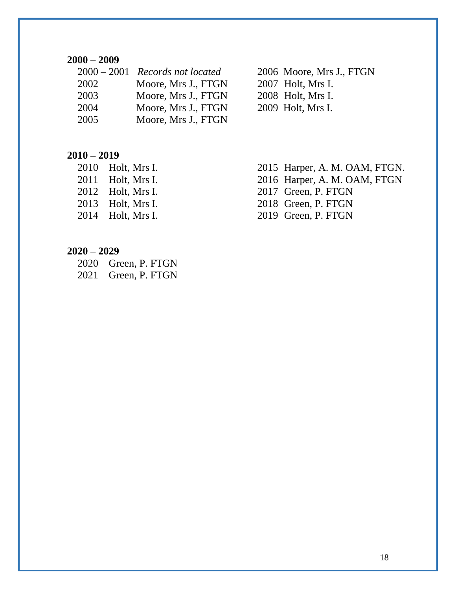|      | $2000 - 2001$ Records not located |
|------|-----------------------------------|
| 2002 | Moore, Mrs J., FTGN               |
| 2003 | Moore, Mrs J., FTGN               |
| 2004 | Moore, Mrs J., FTGN               |
| 2005 | Moore, Mrs J., FTGN               |
|      |                                   |

2006 Moore, Mrs J., FTGN

- 2007 Holt, Mrs I.
- 2008 Holt, Mrs I.
- 2009 Holt, Mrs I.

### **2010 – 2019**

| 2010 | Holt, Mrs I. |
|------|--------------|
| 2011 | Holt, Mrs I. |
| 2012 | Holt, Mrs I. |
| 2013 | Holt, Mrs I. |
| 2014 | Holt, Mrs I. |
|      |              |

- 2015 Harper, A. M. OAM, FTGN.
- 2016 Harper, A. M. OAM, FTGN
- 2017 Green, P. FTGN
- 2018 Green, P. FTGN
- 2019 Green, P. FTGN

### **2020 – 2029**

 2020 Green, P. FTGN 2021 Green, P. FTGN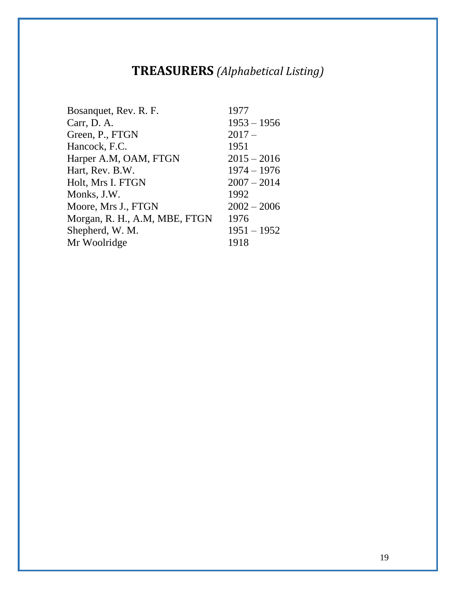# **TREASURERS** *(Alphabetical Listing)*

<span id="page-18-0"></span>

| Bosanquet, Rev. R. F.         | 1977          |
|-------------------------------|---------------|
| Carr, D. A.                   | $1953 - 1956$ |
| Green, P., FTGN               | $2017-$       |
| Hancock, F.C.                 | 1951          |
| Harper A.M, OAM, FTGN         | $2015 - 2016$ |
| Hart, Rev. B.W.               | $1974 - 1976$ |
| Holt, Mrs I. FTGN             | $2007 - 2014$ |
| Monks, J.W.                   | 1992          |
| Moore, Mrs J., FTGN           | $2002 - 2006$ |
| Morgan, R. H., A.M, MBE, FTGN | 1976          |
| Shepherd, W. M.               | $1951 - 1952$ |
| Mr Woolridge                  | 1918          |
|                               |               |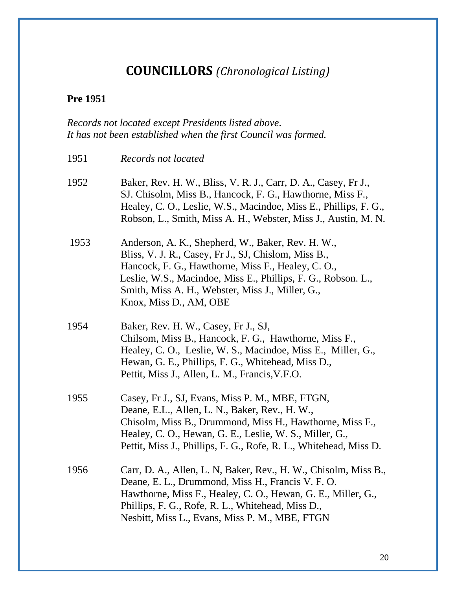# **COUNCILLORS** *(Chronological Listing)*

# <span id="page-19-0"></span>**Pre 1951**

# *Records not located except Presidents listed above. It has not been established when the first Council was formed.*

| 1951 | Records not located                                                                                                                                                                                                                                                                                            |
|------|----------------------------------------------------------------------------------------------------------------------------------------------------------------------------------------------------------------------------------------------------------------------------------------------------------------|
| 1952 | Baker, Rev. H. W., Bliss, V. R. J., Carr, D. A., Casey, Fr J.,<br>SJ. Chisolm, Miss B., Hancock, F. G., Hawthorne, Miss F.,<br>Healey, C. O., Leslie, W.S., Macindoe, Miss E., Phillips, F. G.,<br>Robson, L., Smith, Miss A. H., Webster, Miss J., Austin, M. N.                                              |
| 1953 | Anderson, A. K., Shepherd, W., Baker, Rev. H. W.,<br>Bliss, V. J. R., Casey, Fr J., SJ, Chislom, Miss B.,<br>Hancock, F. G., Hawthorne, Miss F., Healey, C. O.,<br>Leslie, W.S., Macindoe, Miss E., Phillips, F. G., Robson. L.,<br>Smith, Miss A. H., Webster, Miss J., Miller, G.,<br>Knox, Miss D., AM, OBE |
| 1954 | Baker, Rev. H. W., Casey, Fr J., SJ,<br>Chilsom, Miss B., Hancock, F. G., Hawthorne, Miss F.,<br>Healey, C. O., Leslie, W. S., Macindoe, Miss E., Miller, G.,<br>Hewan, G. E., Phillips, F. G., Whitehead, Miss D.,<br>Pettit, Miss J., Allen, L. M., Francis, V.F.O.                                          |
| 1955 | Casey, Fr J., SJ, Evans, Miss P. M., MBE, FTGN,<br>Deane, E.L., Allen, L. N., Baker, Rev., H. W.,<br>Chisolm, Miss B., Drummond, Miss H., Hawthorne, Miss F.,<br>Healey, C. O., Hewan, G. E., Leslie, W. S., Miller, G.,<br>Pettit, Miss J., Phillips, F. G., Rofe, R. L., Whitehead, Miss D.                  |
| 1956 | Carr, D. A., Allen, L. N, Baker, Rev., H. W., Chisolm, Miss B.,<br>Deane, E. L., Drummond, Miss H., Francis V. F. O.<br>Hawthorne, Miss F., Healey, C. O., Hewan, G. E., Miller, G.,<br>Phillips, F. G., Rofe, R. L., Whitehead, Miss D.,<br>Nesbitt, Miss L., Evans, Miss P. M., MBE, FTGN                    |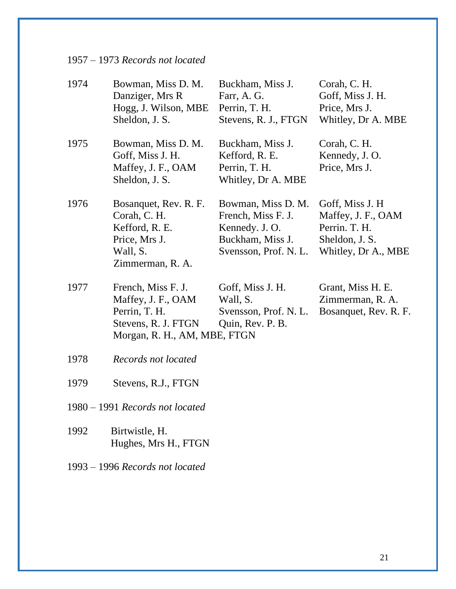| $1957 - 1973$ Records not located |  |  |
|-----------------------------------|--|--|
|-----------------------------------|--|--|

| 1974                            | Bowman, Miss D. M.<br>Danziger, Mrs R<br>Hogg, J. Wilson, MBE<br>Sheldon, J. S.                                  | Buckham, Miss J.<br>Farr, A. G.<br>Perrin, T. H.<br>Stevens, R. J., FTGN                                | Corah, C. H.<br>Goff, Miss J. H.<br>Price, Mrs J.<br>Whitley, Dr A. MBE                         |
|---------------------------------|------------------------------------------------------------------------------------------------------------------|---------------------------------------------------------------------------------------------------------|-------------------------------------------------------------------------------------------------|
| 1975                            | Bowman, Miss D. M.<br>Goff, Miss J. H.<br>Maffey, J. F., OAM<br>Sheldon, J. S.                                   | Buckham, Miss J.<br>Kefford, R. E.<br>Perrin, T. H.<br>Whitley, Dr A. MBE                               | Corah, C. H.<br>Kennedy, J. O.<br>Price, Mrs J.                                                 |
| 1976                            | Bosanquet, Rev. R. F.<br>Corah, C. H.<br>Kefford, R. E.<br>Price, Mrs J.<br>Wall, S.<br>Zimmerman, R. A.         | Bowman, Miss D. M.<br>French, Miss F. J.<br>Kennedy. J. O.<br>Buckham, Miss J.<br>Svensson, Prof. N. L. | Goff, Miss J. H<br>Maffey, J. F., OAM<br>Perrin. T. H.<br>Sheldon, J. S.<br>Whitley, Dr A., MBE |
| 1977                            | French, Miss F. J.<br>Maffey, J. F., OAM<br>Perrin, T. H.<br>Stevens, R. J. FTGN<br>Morgan, R. H., AM, MBE, FTGN | Goff, Miss J. H.<br>Wall, S.<br>Svensson, Prof. N. L.<br>Quin, Rev. P. B.                               | Grant, Miss H. E.<br>Zimmerman, R. A.<br>Bosanquet, Rev. R. F.                                  |
| 1978                            | Records not located                                                                                              |                                                                                                         |                                                                                                 |
| 1979                            | Stevens, R.J., FTGN                                                                                              |                                                                                                         |                                                                                                 |
| 1980 – 1991 Records not located |                                                                                                                  |                                                                                                         |                                                                                                 |
| 1992                            | Birtwistle, H.<br>Hughes, Mrs H., FTGN                                                                           |                                                                                                         |                                                                                                 |

1993 – 1996 *Records not located*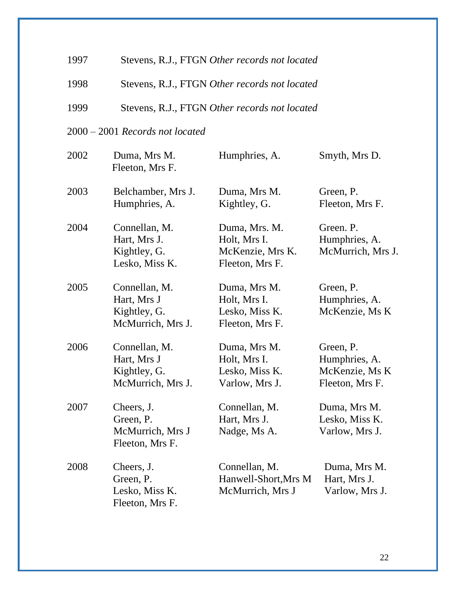| 1997 | Stevens, R.J., FTGN Other records not located                     |                                                                      |                                                                 |  |
|------|-------------------------------------------------------------------|----------------------------------------------------------------------|-----------------------------------------------------------------|--|
| 1998 | Stevens, R.J., FTGN Other records not located                     |                                                                      |                                                                 |  |
| 1999 | Stevens, R.J., FTGN Other records not located                     |                                                                      |                                                                 |  |
|      | $2000 - 2001$ Records not located                                 |                                                                      |                                                                 |  |
| 2002 | Duma, Mrs M.<br>Fleeton, Mrs F.                                   | Humphries, A.                                                        | Smyth, Mrs D.                                                   |  |
| 2003 | Belchamber, Mrs J.<br>Humphries, A.                               | Duma, Mrs M.<br>Kightley, G.                                         | Green, P.<br>Fleeton, Mrs F.                                    |  |
| 2004 | Connellan, M.<br>Hart, Mrs J.<br>Kightley, G.<br>Lesko, Miss K.   | Duma, Mrs. M.<br>Holt, Mrs I.<br>McKenzie, Mrs K.<br>Fleeton, Mrs F. | Green. P.<br>Humphries, A.<br>McMurrich, Mrs J.                 |  |
| 2005 | Connellan, M.<br>Hart, Mrs J<br>Kightley, G.<br>McMurrich, Mrs J. | Duma, Mrs M.<br>Holt, Mrs I.<br>Lesko, Miss K.<br>Fleeton, Mrs F.    | Green, P.<br>Humphries, A.<br>McKenzie, Ms K                    |  |
| 2006 | Connellan, M.<br>Hart, Mrs J<br>Kightley, G.<br>McMurrich, Mrs J. | Duma, Mrs M.<br>Holt, Mrs I.<br>Lesko, Miss K.<br>Varlow, Mrs J.     | Green, P.<br>Humphries, A.<br>McKenzie, Ms K<br>Fleeton, Mrs F. |  |
| 2007 | Cheers, J.<br>Green, P.<br>McMurrich, Mrs J<br>Fleeton, Mrs F.    | Connellan, M.<br>Hart, Mrs J.<br>Nadge, Ms A.                        | Duma, Mrs M.<br>Lesko, Miss K.<br>Varlow, Mrs J.                |  |
| 2008 | Cheers, J.<br>Green, P.<br>Lesko, Miss K.<br>Fleeton, Mrs F.      | Connellan, M.<br>Hanwell-Short, Mrs M<br>McMurrich, Mrs J            | Duma, Mrs M.<br>Hart, Mrs J.<br>Varlow, Mrs J.                  |  |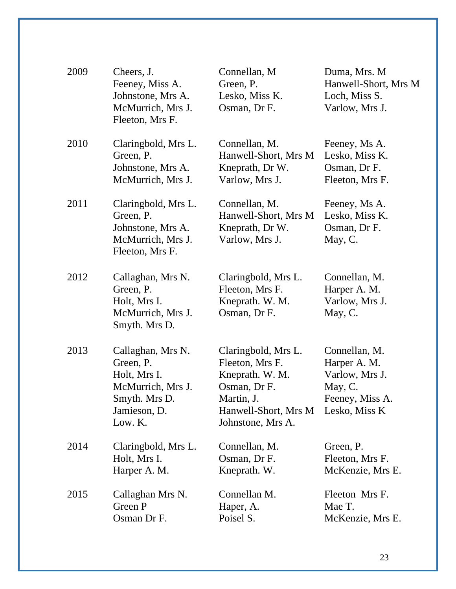| 2009 | Cheers, J.<br>Feeney, Miss A.<br>Johnstone, Mrs A.<br>McMurrich, Mrs J.<br>Fleeton, Mrs F.                      | Connellan, M<br>Green, P.<br>Lesko, Miss K.<br>Osman, Dr F.                                                                          | Duma, Mrs. M<br>Hanwell-Short, Mrs M<br>Loch, Miss S.<br>Varlow, Mrs J.                        |
|------|-----------------------------------------------------------------------------------------------------------------|--------------------------------------------------------------------------------------------------------------------------------------|------------------------------------------------------------------------------------------------|
| 2010 | Claringbold, Mrs L.<br>Green, P.<br>Johnstone, Mrs A.<br>McMurrich, Mrs J.                                      | Connellan, M.<br>Hanwell-Short, Mrs M<br>Kneprath, Dr W.<br>Varlow, Mrs J.                                                           | Feeney, Ms A.<br>Lesko, Miss K.<br>Osman, Dr F.<br>Fleeton, Mrs F.                             |
| 2011 | Claringbold, Mrs L.<br>Green, P.<br>Johnstone, Mrs A.<br>McMurrich, Mrs J.<br>Fleeton, Mrs F.                   | Connellan, M.<br>Hanwell-Short, Mrs M<br>Kneprath, Dr W.<br>Varlow, Mrs J.                                                           | Feeney, Ms A.<br>Lesko, Miss K.<br>Osman, Dr F.<br>May, C.                                     |
| 2012 | Callaghan, Mrs N.<br>Green, P.<br>Holt, Mrs I.<br>McMurrich, Mrs J.<br>Smyth. Mrs D.                            | Claringbold, Mrs L.<br>Fleeton, Mrs F.<br>Kneprath. W. M.<br>Osman, Dr F.                                                            | Connellan, M.<br>Harper A. M.<br>Varlow, Mrs J.<br>May, C.                                     |
| 2013 | Callaghan, Mrs N.<br>Green, P.<br>Holt, Mrs I.<br>McMurrich, Mrs J.<br>Smyth. Mrs D.<br>Jamieson, D.<br>Low. K. | Claringbold, Mrs L.<br>Fleeton, Mrs F.<br>Kneprath. W. M.<br>Osman, Dr F.<br>Martin, J.<br>Hanwell-Short, Mrs M<br>Johnstone, Mrs A. | Connellan, M.<br>Harper A. M.<br>Varlow, Mrs J.<br>May, C.<br>Feeney, Miss A.<br>Lesko, Miss K |
| 2014 | Claringbold, Mrs L.<br>Holt, Mrs I.<br>Harper A. M.                                                             | Connellan, M.<br>Osman, Dr F.<br>Kneprath. W.                                                                                        | Green, P.<br>Fleeton, Mrs F.<br>McKenzie, Mrs E.                                               |
| 2015 | Callaghan Mrs N.<br>Green P<br>Osman Dr F.                                                                      | Connellan M.<br>Haper, A.<br>Poisel S.                                                                                               | Fleeton Mrs F.<br>Mae T.<br>McKenzie, Mrs E.                                                   |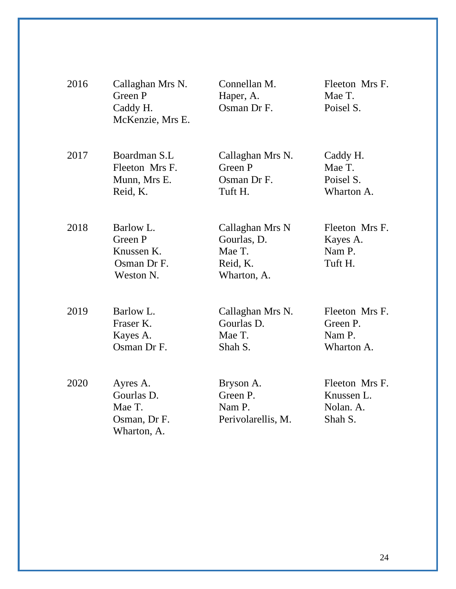| 2016 | Callaghan Mrs N.<br>Green P<br>Caddy H.<br>McKenzie, Mrs E.     | Connellan M.<br>Haper, A.<br>Osman Dr F.                            | Fleeton Mrs F.<br>Mae T.<br>Poisel S.                |
|------|-----------------------------------------------------------------|---------------------------------------------------------------------|------------------------------------------------------|
| 2017 | Boardman S.L<br>Fleeton Mrs F.<br>Munn, Mrs E.<br>Reid, K.      | Callaghan Mrs N.<br>Green P<br>Osman Dr F.<br>Tuft H.               | Caddy H.<br>Mae T.<br>Poisel S.<br>Wharton A.        |
| 2018 | Barlow L.<br>Green P<br>Knussen K.<br>Osman Dr F.<br>Weston N.  | Callaghan Mrs N<br>Gourlas, D.<br>Mae T.<br>Reid, K.<br>Wharton, A. | Fleeton Mrs F.<br>Kayes A.<br>Nam P.<br>Tuft H.      |
| 2019 | Barlow L.<br>Fraser K.<br>Kayes A.<br>Osman Dr F.               | Callaghan Mrs N.<br>Gourlas D.<br>Mae T.<br>Shah S.                 | Fleeton Mrs F.<br>Green P.<br>Nam P.<br>Wharton A.   |
| 2020 | Ayres A.<br>Gourlas D.<br>Mae T.<br>Osman, Dr F.<br>Wharton, A. | Bryson A.<br>Green P.<br>Nam P.<br>Perivolarellis, M.               | Fleeton Mrs F.<br>Knussen L.<br>Nolan. A.<br>Shah S. |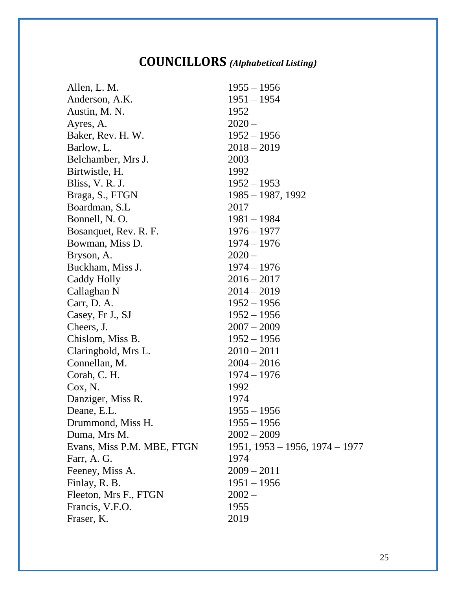# **COUNCILLORS** *(Alphabetical Listing)*

| Allen, L. M.               | $1955 - 1956$                    |
|----------------------------|----------------------------------|
| Anderson, A.K.             | $1951 - 1954$                    |
| Austin, M. N.              | 1952                             |
| Ayres, A.                  | $2020 -$                         |
| Baker, Rev. H. W.          | $1952 - 1956$                    |
| Barlow, L.                 | $2018 - 2019$                    |
| Belchamber, Mrs J.         | 2003                             |
| Birtwistle, H.             | 1992                             |
| Bliss, V. R. J.            | $1952 - 1953$                    |
| Braga, S., FTGN            | $1985 - 1987, 1992$              |
| Boardman, S.L              | 2017                             |
| Bonnell, N. O.             | $1981 - 1984$                    |
| Bosanquet, Rev. R. F.      | $1976 - 1977$                    |
| Bowman, Miss D.            | $1974 - 1976$                    |
| Bryson, A.                 | $2020 -$                         |
| Buckham, Miss J.           | $1974 - 1976$                    |
| Caddy Holly                | $2016 - 2017$                    |
| Callaghan N                | $2014 - 2019$                    |
| Carr, D. A.                | $1952 - 1956$                    |
| Casey, Fr J., SJ           | $1952 - 1956$                    |
| Cheers, J.                 | $2007 - 2009$                    |
| Chislom, Miss B.           | $1952 - 1956$                    |
| Claringbold, Mrs L.        | $2010 - 2011$                    |
| Connellan, M.              | $2004 - 2016$                    |
| Corah, C. H.               | $1974 - 1976$                    |
| Cox, N.                    | 1992                             |
| Danziger, Miss R.          | 1974                             |
| Deane, E.L.                | $1955 - 1956$                    |
| Drummond, Miss H.          | $1955 - 1956$                    |
| Duma, Mrs M.               | $2002 - 2009$                    |
| Evans, Miss P.M. MBE, FTGN | $1951, 1953 - 1956, 1974 - 1977$ |
| Farr, A. G.                | 1974                             |
| Feeney, Miss A.            | $2009 - 2011$                    |
| Finlay, R. B.              | $1951 - 1956$                    |
| Fleeton, Mrs F., FTGN      | $2002 -$                         |
| Francis, V.F.O.            | 1955                             |
| Fraser, K.                 | 2019                             |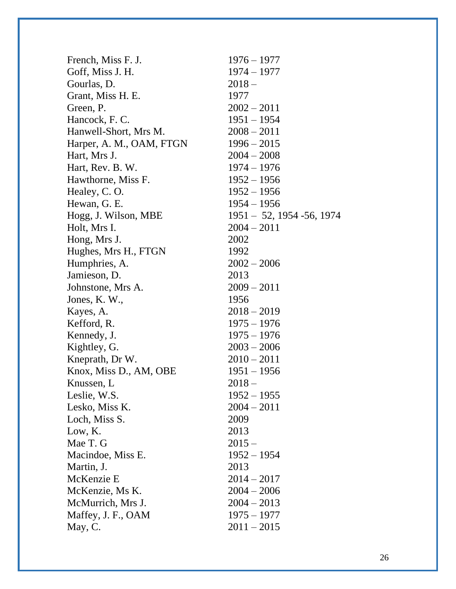| French, Miss F. J.       | $1976 - 1977$                 |
|--------------------------|-------------------------------|
| Goff, Miss J. H.         | $1974 - 1977$                 |
| Gourlas, D.              | $2018 -$                      |
| Grant, Miss H. E.        | 1977                          |
| Green, P.                | $2002 - 2011$                 |
| Hancock, F. C.           | $1951 - 1954$                 |
| Hanwell-Short, Mrs M.    | $2008 - 2011$                 |
| Harper, A. M., OAM, FTGN | $1996 - 2015$                 |
| Hart, Mrs J.             | $2004 - 2008$                 |
| Hart, Rev. B. W.         | $1974 - 1976$                 |
| Hawthorne, Miss F.       | $1952 - 1956$                 |
| Healey, C.O.             | $1952 - 1956$                 |
| Hewan, G. E.             | $1954 - 1956$                 |
| Hogg, J. Wilson, MBE     | $1951 - 52$ , 1954 - 56, 1974 |
| Holt, Mrs I.             | $2004 - 2011$                 |
| Hong, Mrs J.             | 2002                          |
| Hughes, Mrs H., FTGN     | 1992                          |
| Humphries, A.            | $2002 - 2006$                 |
| Jamieson, D.             | 2013                          |
| Johnstone, Mrs A.        | $2009 - 2011$                 |
| Jones, K.W.,             | 1956                          |
| Kayes, A.                | $2018 - 2019$                 |
| Kefford, R.              | $1975 - 1976$                 |
| Kennedy, J.              | $1975 - 1976$                 |
| Kightley, G.             | $2003 - 2006$                 |
| Kneprath, Dr W.          | $2010 - 2011$                 |
| Knox, Miss D., AM, OBE   | $1951 - 1956$                 |
| Knussen, L               | $2018 -$                      |
| Leslie, W.S.             | $1952 - 1955$                 |
| Lesko, Miss K.           | $2004 - 2011$                 |
| Loch, Miss S.            | 2009                          |
| Low, K.                  | 2013                          |
| Mae T. G                 | $2015 -$                      |
| Macindoe, Miss E.        | $1952 - 1954$                 |
| Martin, J.               | 2013                          |
| McKenzie E               | $2014 - 2017$                 |
| McKenzie, Ms K.          | $2004 - 2006$                 |
| McMurrich, Mrs J.        | $2004 - 2013$                 |
| Maffey, J. F., OAM       | $1975 - 1977$                 |
| May, C.                  | $2011 - 2015$                 |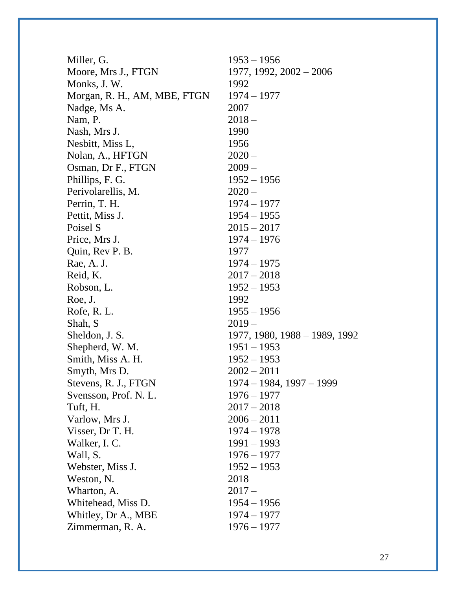| Miller, G.                   | $1953 - 1956$                 |
|------------------------------|-------------------------------|
| Moore, Mrs J., FTGN          | $1977, 1992, 2002 - 2006$     |
| Monks, J.W.                  | 1992                          |
| Morgan, R. H., AM, MBE, FTGN | $1974 - 1977$                 |
| Nadge, Ms A.                 | 2007                          |
| Nam, P.                      | $2018 -$                      |
| Nash, Mrs J.                 | 1990                          |
| Nesbitt, Miss L,             | 1956                          |
| Nolan, A., HFTGN             | $2020 -$                      |
| Osman, Dr F., FTGN           | $2009 -$                      |
| Phillips, F. G.              | $1952 - 1956$                 |
| Perivolarellis, M.           | $2020 -$                      |
| Perrin, T. H.                | $1974 - 1977$                 |
| Pettit, Miss J.              | $1954 - 1955$                 |
| Poisel S                     | $2015 - 2017$                 |
| Price, Mrs J.                | $1974 - 1976$                 |
| Quin, Rev P. B.              | 1977                          |
| Rae, A. J.                   | $1974 - 1975$                 |
| Reid, K.                     | $2017 - 2018$                 |
| Robson, L.                   | $1952 - 1953$                 |
| Roe, J.                      | 1992                          |
| Rofe, R. L.                  | $1955 - 1956$                 |
| Shah, S                      | $2019-$                       |
| Sheldon, J. S.               | 1977, 1980, 1988 – 1989, 1992 |
| Shepherd, W. M.              | $1951 - 1953$                 |
| Smith, Miss A. H.            | $1952 - 1953$                 |
| Smyth, Mrs D.                | $2002 - 2011$                 |
| Stevens, R. J., FTGN         | 1974 – 1984, 1997 – 1999      |
| Svensson, Prof. N. L.        | $1976 - 1977$                 |
| Tuft, H.                     | $2017 - 2018$                 |
| Varlow, Mrs J.               | $2006 - 2011$                 |
| Visser, Dr T. H.             | $1974 - 1978$                 |
| Walker, I. C.                | $1991 - 1993$                 |
| Wall, S.                     | $1976 - 1977$                 |
| Webster, Miss J.             | $1952 - 1953$                 |
| Weston, N.                   | 2018                          |
| Wharton, A.                  | $2017-$                       |
| Whitehead, Miss D.           | $1954 - 1956$                 |
| Whitley, Dr A., MBE          | $1974 - 1977$                 |
| Zimmerman, R. A.             | $1976 - 1977$                 |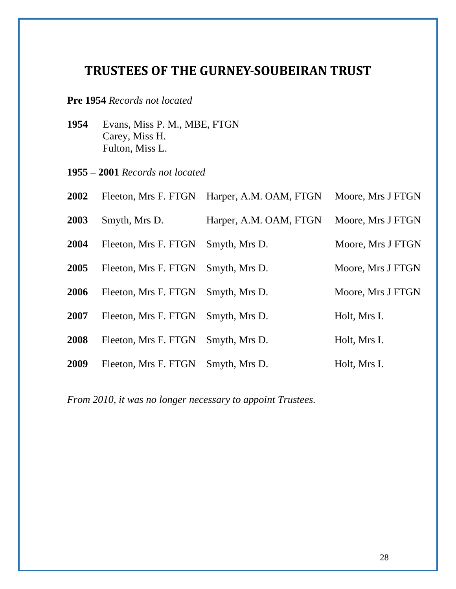# <span id="page-27-0"></span>**TRUSTEES OF THE GURNEY-SOUBEIRAN TRUST**

# **Pre 1954** *Records not located*

- Evans, Miss P. M., MBE, FTGN Carey, Miss H. Fulton, Miss L.
- **1955 – 2001** *Records not located*

| 2002 | Fleeton, Mrs F. FTGN | Harper, A.M. OAM, FTGN | Moore, Mrs J FTGN |
|------|----------------------|------------------------|-------------------|
| 2003 | Smyth, Mrs D.        | Harper, A.M. OAM, FTGN | Moore, Mrs J FTGN |
| 2004 | Fleeton, Mrs F. FTGN | Smyth, Mrs D.          | Moore, Mrs J FTGN |
| 2005 | Fleeton, Mrs F. FTGN | Smyth, Mrs D.          | Moore, Mrs J FTGN |
| 2006 | Fleeton, Mrs F. FTGN | Smyth, Mrs D.          | Moore, Mrs J FTGN |
| 2007 | Fleeton, Mrs F. FTGN | Smyth, Mrs D.          | Holt, Mrs I.      |
| 2008 | Fleeton, Mrs F. FTGN | Smyth, Mrs D.          | Holt, Mrs I.      |
| 2009 | Fleeton, Mrs F. FTGN | Smyth, Mrs D.          | Holt, Mrs I.      |

*From 2010, it was no longer necessary to appoint Trustees.*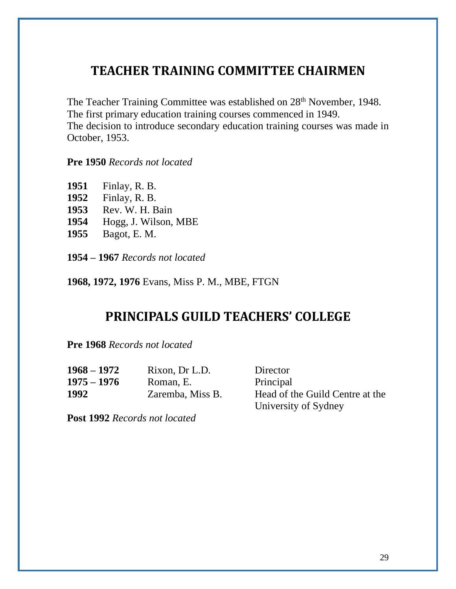# <span id="page-28-0"></span>**TEACHER TRAINING COMMITTEE CHAIRMEN**

The Teacher Training Committee was established on 28<sup>th</sup> November, 1948. The first primary education training courses commenced in 1949. The decision to introduce secondary education training courses was made in October, 1953.

## **Pre 1950** *Records not located*

| 1951 | Finlay, R. B.        |
|------|----------------------|
| 1952 | Finlay, R. B.        |
| 1953 | Rev. W. H. Bain      |
| 1954 | Hogg, J. Wilson, MBE |
| 1955 | Bagot, E. M.         |
|      |                      |

**1954 – 1967** *Records not located*

<span id="page-28-1"></span>**1968, 1972, 1976** Evans, Miss P. M., MBE, FTGN

# **PRINCIPALS GUILD TEACHERS' COLLEGE**

**Pre 1968** *Records not located*

| 1968 – 1972   | Rixon, Dr L.D.   | Director                        |
|---------------|------------------|---------------------------------|
| $1975 - 1976$ | Roman, E.        | Principal                       |
| 1992          | Zaremba, Miss B. | Head of the Guild Centre at the |
|               |                  | University of Sydney            |

**Post 1992** *Records not located*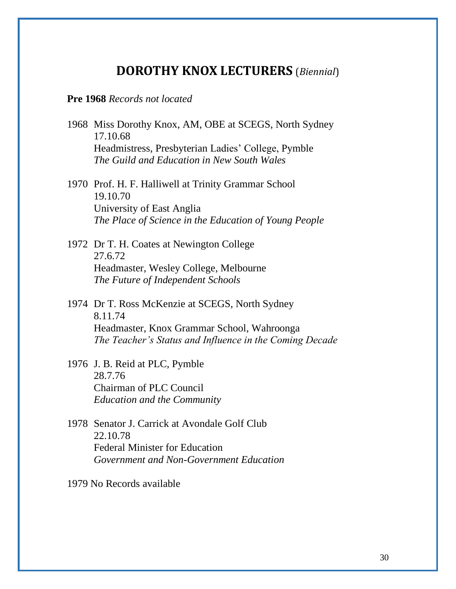# **DOROTHY KNOX LECTURERS** (*Biennial*)

### <span id="page-29-0"></span>**Pre 1968** *Records not located*

- 1968 Miss Dorothy Knox, AM, OBE at SCEGS, North Sydney 17.10.68 Headmistress, Presbyterian Ladies' College, Pymble *The Guild and Education in New South Wales*
- 1970 Prof. H. F. Halliwell at Trinity Grammar School 19.10.70 University of East Anglia *The Place of Science in the Education of Young People*

1972 Dr T. H. Coates at Newington College 27.6.72 Headmaster, Wesley College, Melbourne *The Future of Independent Schools*

- 1974 Dr T. Ross McKenzie at SCEGS, North Sydney 8.11.74 Headmaster, Knox Grammar School, Wahroonga *The Teacher's Status and Influence in the Coming Decade*
- 1976 J. B. Reid at PLC, Pymble 28.7.76 Chairman of PLC Council *Education and the Community*
- 1978 Senator J. Carrick at Avondale Golf Club 22.10.78 Federal Minister for Education *Government and Non-Government Education*

1979 No Records available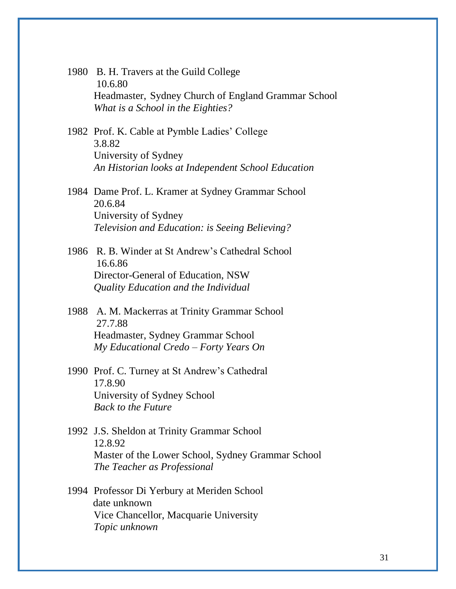1980 B. H. Travers at the Guild College 10.6.80 Headmaster, Sydney Church of England Grammar School *What is a School in the Eighties?*

1982 Prof. K. Cable at Pymble Ladies' College 3.8.82 University of Sydney *An Historian looks at Independent School Education*

1984 Dame Prof. L. Kramer at Sydney Grammar School 20.6.84 University of Sydney *Television and Education: is Seeing Believing?*

1986 R. B. Winder at St Andrew's Cathedral School 16.6.86 Director-General of Education, NSW *Quality Education and the Individual*

1988 A. M. Mackerras at Trinity Grammar School 27.7.88 Headmaster, Sydney Grammar School *My Educational Credo – Forty Years On*

- 1990 Prof. C. Turney at St Andrew's Cathedral 17.8.90 University of Sydney School *Back to the Future*
- 1992 J.S. Sheldon at Trinity Grammar School 12.8.92 Master of the Lower School, Sydney Grammar School *The Teacher as Professional*
- 1994 Professor Di Yerbury at Meriden School date unknown Vice Chancellor, Macquarie University *Topic unknown*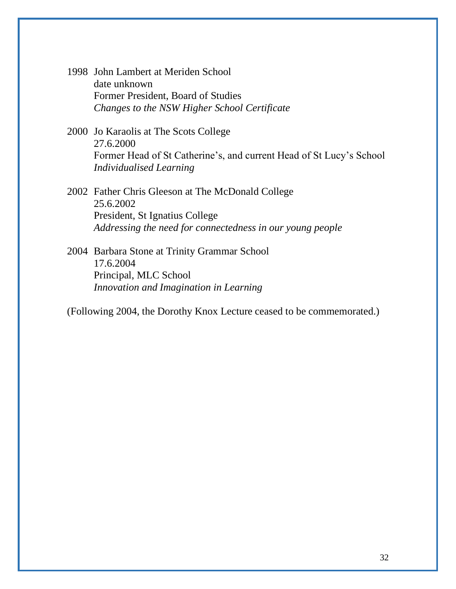- 1998 John Lambert at Meriden School date unknown Former President, Board of Studies *Changes to the NSW Higher School Certificate*
- 2000 Jo Karaolis at The Scots College 27.6.2000 Former Head of St Catherine's, and current Head of St Lucy's School *Individualised Learning*
- 2002 Father Chris Gleeson at The McDonald College 25.6.2002 President, St Ignatius College *Addressing the need for connectedness in our young people*
- 2004 Barbara Stone at Trinity Grammar School 17.6.2004 Principal, MLC School *Innovation and Imagination in Learning*

(Following 2004, the Dorothy Knox Lecture ceased to be commemorated.)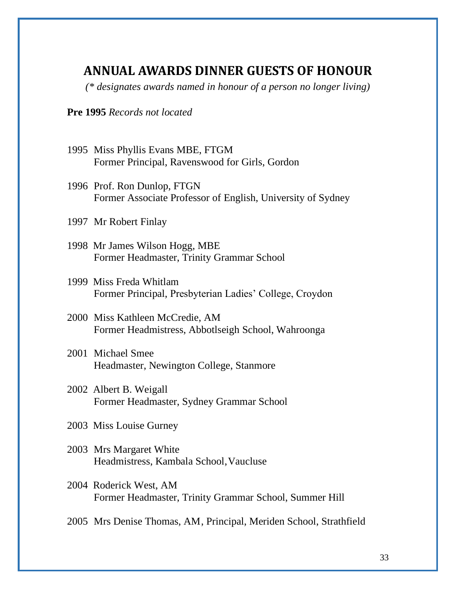# <span id="page-32-0"></span>**ANNUAL AWARDS DINNER GUESTS OF HONOUR**

*(\* designates awards named in honour of a person no longer living)* 

### **Pre 1995** *Records not located*

- 1995 Miss Phyllis Evans MBE, FTGM Former Principal, Ravenswood for Girls, Gordon
- 1996 Prof. Ron Dunlop, FTGN Former Associate Professor of English, University of Sydney
- 1997 Mr Robert Finlay
- 1998 Mr James Wilson Hogg, MBE Former Headmaster, Trinity Grammar School
- 1999 Miss Freda Whitlam Former Principal, Presbyterian Ladies' College, Croydon
- 2000 Miss Kathleen McCredie, AM Former Headmistress, Abbotlseigh School, Wahroonga
- 2001 Michael Smee Headmaster, Newington College, Stanmore
- 2002 Albert B. Weigall Former Headmaster, Sydney Grammar School
- 2003 Miss Louise Gurney
- 2003 Mrs Margaret White Headmistress, Kambala School,Vaucluse
- 2004 Roderick West, AM Former Headmaster, Trinity Grammar School, Summer Hill
- 2005 Mrs Denise Thomas, AM, Principal, Meriden School, Strathfield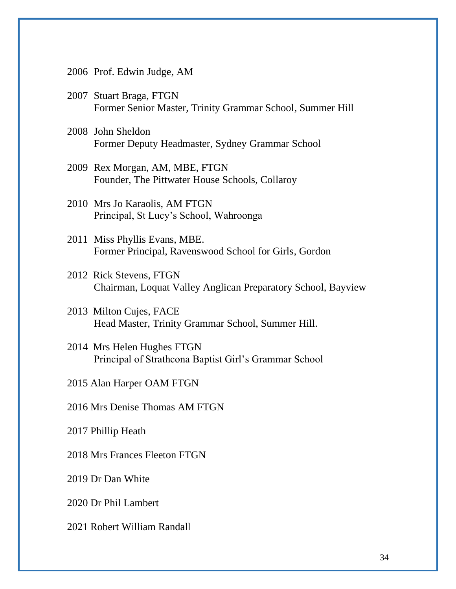- 2006 Prof. Edwin Judge, AM
- 2007 Stuart Braga, FTGN Former Senior Master, Trinity Grammar School, Summer Hill
- 2008 John Sheldon Former Deputy Headmaster, Sydney Grammar School
- 2009 Rex Morgan, AM, MBE, FTGN Founder, The Pittwater House Schools, Collaroy
- 2010 Mrs Jo Karaolis, AM FTGN Principal, St Lucy's School, Wahroonga
- 2011 Miss Phyllis Evans, MBE. Former Principal, Ravenswood School for Girls, Gordon
- 2012 Rick Stevens, FTGN Chairman, Loquat Valley Anglican Preparatory School, Bayview
- 2013 Milton Cujes, FACE Head Master, Trinity Grammar School, Summer Hill.
- 2014 Mrs Helen Hughes FTGN Principal of Strathcona Baptist Girl's Grammar School

2015 Alan Harper OAM FTGN

2016 Mrs Denise Thomas AM FTGN

2017 Phillip Heath

2018 Mrs Frances Fleeton FTGN

2019 Dr Dan White

2020 Dr Phil Lambert

2021 Robert William Randall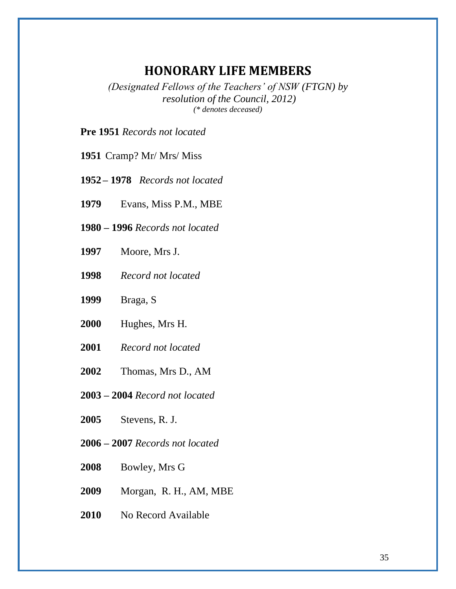# **HONORARY LIFE MEMBERS**

<span id="page-34-0"></span>*(Designated Fellows of the Teachers' of NSW (FTGN) by resolution of the Council, 2012) (\* denotes deceased)*

**Pre 1951** *Records not located*

- Cramp? Mr/ Mrs/ Miss
- **– 1978** *Records not located*
- Evans, Miss P.M., MBE
- **1980 – 1996** *Records not located*
- Moore, Mrs J.
- *Record not located*
- Braga, S
- Hughes, Mrs H.
- *Record not located*
- Thomas, Mrs D., AM
- **2003 – 2004** *Record not located*
- Stevens, R. J.
- **2006 – 2007** *Records not located*
- Bowley, Mrs G
- Morgan, R. H., AM, MBE
- No Record Available